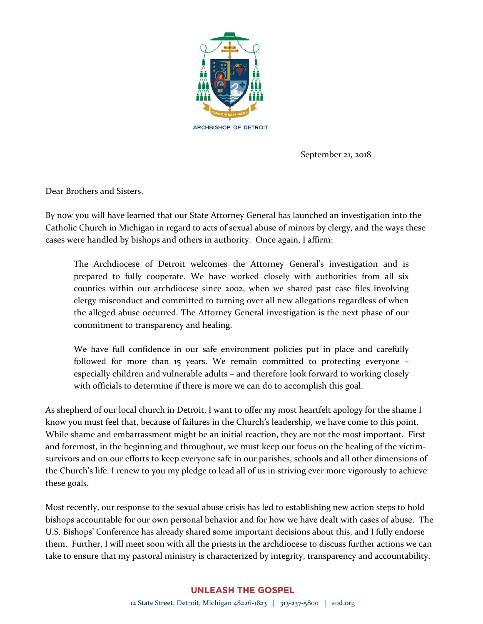

September 21, 2018

Dear Brothers and Sisters,

By now you will have learned that our State Attorney General has launched an investigation into the Catholic Church in Michigan in regard to acts of sexual abuse of minors by clergy, and the ways these cases were handled by bishops and others in authority. Once again, I affirm:

The Archdiocese of Detroit welcomes the Attorney General's investigation and is prepared to fully cooperate. We have worked closely with authorities from all six counties within our archdiocese since 2002, when we shared past case files involving clergy misconduct and committed to turning over all new allegations regardless of when the alleged abuse occurred. The Attorney General investigation is the next phase of our commitment to transparency and healing.

We have full confidence in our safe environment policies put in place and carefully followed for more than 15 years. We remain committed to protecting everyone – especially children and vulnerable adults – and therefore look forward to working closely with officials to determine if there is more we can do to accomplish this goal.

As shepherd of our local church in Detroit, I want to offer my most heartfelt apology for the shame I know you must feel that, because of failures in the Church's leadership, we have come to this point. While shame and embarrassment might be an initial reaction, they are not the most important. First and foremost, in the beginning and throughout, we must keep our focus on the healing of the victimsurvivors and on our efforts to keep everyone safe in our parishes, schools and all other dimensions of the Church's life. I renew to you my pledge to lead all of us in striving ever more vigorously to achieve these goals.

Most recently, our response to the sexual abuse crisis has led to establishing new action steps to hold bishops accountable for our own personal behavior and for how we have dealt with cases of abuse. The U.S. Bishops' Conference has already shared some important decisions about this, and I fully endorse them. Further, I will meet soon with all the priests in the archdiocese to discuss further actions we can take to ensure that my pastoral ministry is characterized by integrity, transparency and accountability.